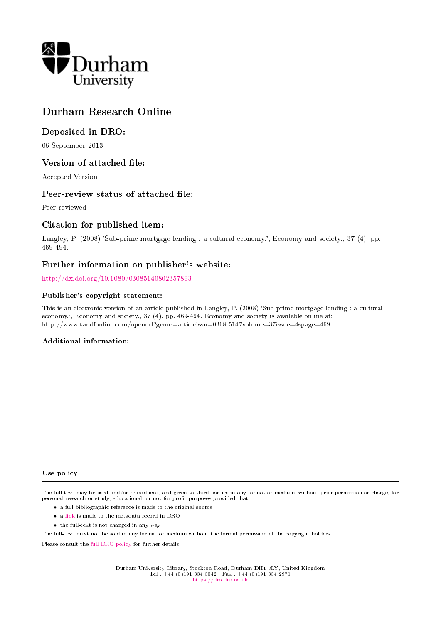

# Durham Research Online

# Deposited in DRO:

06 September 2013

# Version of attached file:

Accepted Version

# Peer-review status of attached file:

Peer-reviewed

# Citation for published item:

Langley, P. (2008) 'Sub-prime mortgage lending : a cultural economy.', Economy and society., 37 (4). pp. 469-494.

# Further information on publisher's website:

<http://dx.doi.org/10.1080/03085140802357893>

#### Publisher's copyright statement:

This is an electronic version of an article published in Langley, P. (2008) 'Sub-prime mortgage lending : a cultural economy.', Economy and society., 37 (4). pp. 469-494. Economy and society is available online at: http://www.tandfonline.com/openurl?genre=articleissn=0308-5147volume=37issue=4spage=469

#### Additional information:

#### Use policy

The full-text may be used and/or reproduced, and given to third parties in any format or medium, without prior permission or charge, for personal research or study, educational, or not-for-profit purposes provided that:

- a full bibliographic reference is made to the original source
- a [link](http://dro.dur.ac.uk/11323/) is made to the metadata record in DRO
- the full-text is not changed in any way

The full-text must not be sold in any format or medium without the formal permission of the copyright holders.

Please consult the [full DRO policy](https://dro.dur.ac.uk/policies/usepolicy.pdf) for further details.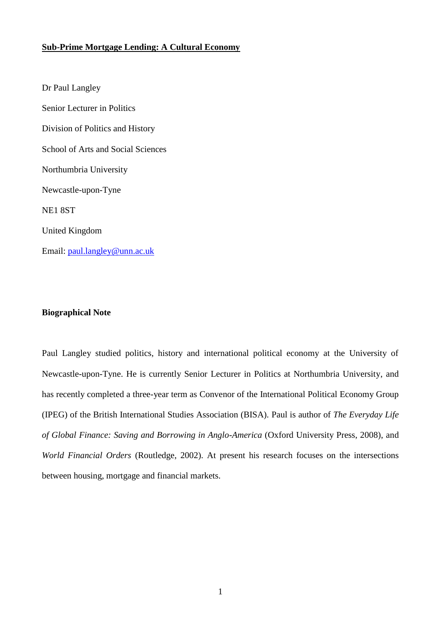# **Sub-Prime Mortgage Lending: A Cultural Economy**

Dr Paul Langley Senior Lecturer in Politics Division of Politics and History School of Arts and Social Sciences Northumbria University Newcastle-upon-Tyne NE1 8ST United Kingdom Email: [paul.langley@unn.ac.uk](mailto:paul.langley@unn.ac.uk)

# **Biographical Note**

Paul Langley studied politics, history and international political economy at the University of Newcastle-upon-Tyne. He is currently Senior Lecturer in Politics at Northumbria University, and has recently completed a three-year term as Convenor of the International Political Economy Group (IPEG) of the British International Studies Association (BISA). Paul is author of *The Everyday Life of Global Finance: Saving and Borrowing in Anglo-America* (Oxford University Press, 2008), and *World Financial Orders* (Routledge, 2002). At present his research focuses on the intersections between housing, mortgage and financial markets.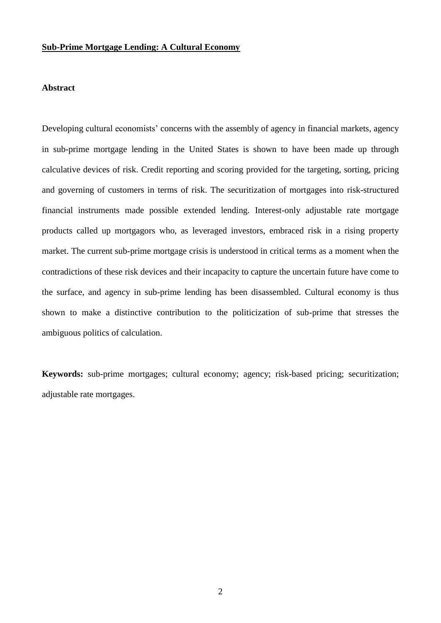### **Sub-Prime Mortgage Lending: A Cultural Economy**

### **Abstract**

Developing cultural economists' concerns with the assembly of agency in financial markets, agency in sub-prime mortgage lending in the United States is shown to have been made up through calculative devices of risk. Credit reporting and scoring provided for the targeting, sorting, pricing and governing of customers in terms of risk. The securitization of mortgages into risk-structured financial instruments made possible extended lending. Interest-only adjustable rate mortgage products called up mortgagors who, as leveraged investors, embraced risk in a rising property market. The current sub-prime mortgage crisis is understood in critical terms as a moment when the contradictions of these risk devices and their incapacity to capture the uncertain future have come to the surface, and agency in sub-prime lending has been disassembled. Cultural economy is thus shown to make a distinctive contribution to the politicization of sub-prime that stresses the ambiguous politics of calculation.

**Keywords:** sub-prime mortgages; cultural economy; agency; risk-based pricing; securitization; adjustable rate mortgages.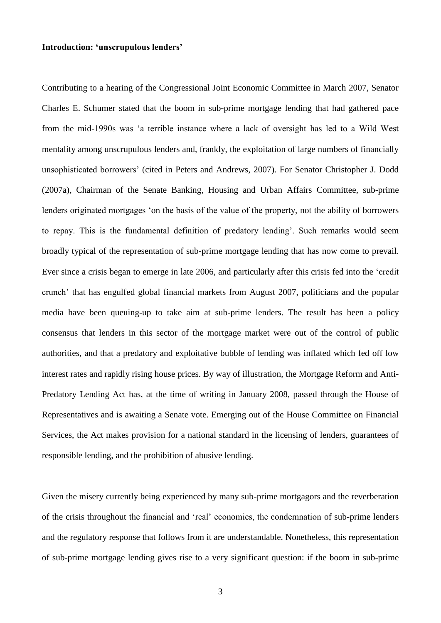#### **Introduction: 'unscrupulous lenders'**

Contributing to a hearing of the Congressional Joint Economic Committee in March 2007, Senator Charles E. Schumer stated that the boom in sub-prime mortgage lending that had gathered pace from the mid-1990s was 'a terrible instance where a lack of oversight has led to a Wild West mentality among unscrupulous lenders and, frankly, the exploitation of large numbers of financially unsophisticated borrowers' (cited in Peters and Andrews, 2007). For Senator Christopher J. Dodd (2007a), Chairman of the Senate Banking, Housing and Urban Affairs Committee, sub-prime lenders originated mortgages 'on the basis of the value of the property, not the ability of borrowers to repay. This is the fundamental definition of predatory lending'. Such remarks would seem broadly typical of the representation of sub-prime mortgage lending that has now come to prevail. Ever since a crisis began to emerge in late 2006, and particularly after this crisis fed into the 'credit crunch' that has engulfed global financial markets from August 2007, politicians and the popular media have been queuing-up to take aim at sub-prime lenders. The result has been a policy consensus that lenders in this sector of the mortgage market were out of the control of public authorities, and that a predatory and exploitative bubble of lending was inflated which fed off low interest rates and rapidly rising house prices. By way of illustration, the Mortgage Reform and Anti-Predatory Lending Act has, at the time of writing in January 2008, passed through the House of Representatives and is awaiting a Senate vote. Emerging out of the House Committee on Financial Services, the Act makes provision for a national standard in the licensing of lenders, guarantees of responsible lending, and the prohibition of abusive lending.

Given the misery currently being experienced by many sub-prime mortgagors and the reverberation of the crisis throughout the financial and 'real' economies, the condemnation of sub-prime lenders and the regulatory response that follows from it are understandable. Nonetheless, this representation of sub-prime mortgage lending gives rise to a very significant question: if the boom in sub-prime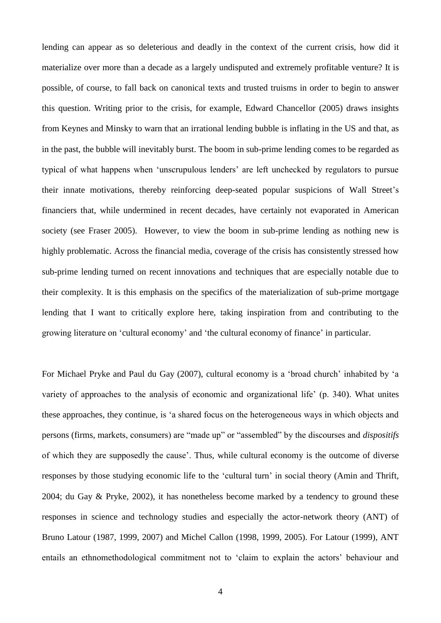lending can appear as so deleterious and deadly in the context of the current crisis, how did it materialize over more than a decade as a largely undisputed and extremely profitable venture? It is possible, of course, to fall back on canonical texts and trusted truisms in order to begin to answer this question. Writing prior to the crisis, for example, Edward Chancellor (2005) draws insights from Keynes and Minsky to warn that an irrational lending bubble is inflating in the US and that, as in the past, the bubble will inevitably burst. The boom in sub-prime lending comes to be regarded as typical of what happens when 'unscrupulous lenders' are left unchecked by regulators to pursue their innate motivations, thereby reinforcing deep-seated popular suspicions of Wall Street's financiers that, while undermined in recent decades, have certainly not evaporated in American society (see Fraser 2005). However, to view the boom in sub-prime lending as nothing new is highly problematic. Across the financial media, coverage of the crisis has consistently stressed how sub-prime lending turned on recent innovations and techniques that are especially notable due to their complexity. It is this emphasis on the specifics of the materialization of sub-prime mortgage lending that I want to critically explore here, taking inspiration from and contributing to the growing literature on 'cultural economy' and 'the cultural economy of finance' in particular.

For Michael Pryke and Paul du Gay (2007), cultural economy is a 'broad church' inhabited by 'a variety of approaches to the analysis of economic and organizational life' (p. 340). What unites these approaches, they continue, is 'a shared focus on the heterogeneous ways in which objects and persons (firms, markets, consumers) are "made up" or "assembled" by the discourses and *dispositifs* of which they are supposedly the cause'. Thus, while cultural economy is the outcome of diverse responses by those studying economic life to the 'cultural turn' in social theory (Amin and Thrift, 2004; du Gay & Pryke, 2002), it has nonetheless become marked by a tendency to ground these responses in science and technology studies and especially the actor-network theory (ANT) of Bruno Latour (1987, 1999, 2007) and Michel Callon (1998, 1999, 2005). For Latour (1999), ANT entails an ethnomethodological commitment not to 'claim to explain the actors' behaviour and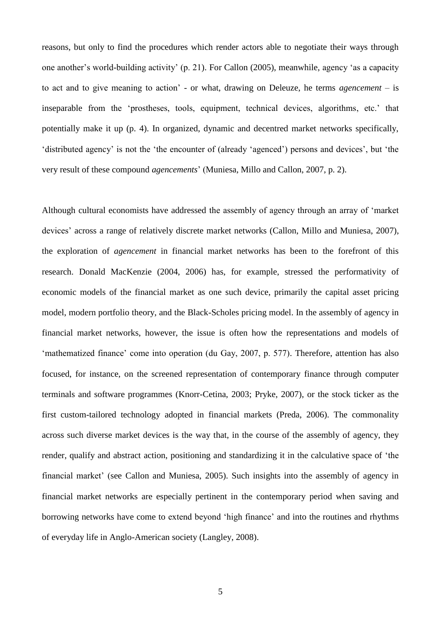reasons, but only to find the procedures which render actors able to negotiate their ways through one another's world-building activity' (p. 21). For Callon (2005), meanwhile, agency 'as a capacity to act and to give meaning to action' - or what, drawing on Deleuze, he terms *agencement* – is inseparable from the 'prostheses, tools, equipment, technical devices, algorithms, etc.' that potentially make it up (p. 4). In organized, dynamic and decentred market networks specifically, 'distributed agency' is not the 'the encounter of (already 'agenced') persons and devices', but 'the very result of these compound *agencements*' (Muniesa, Millo and Callon, 2007, p. 2).

Although cultural economists have addressed the assembly of agency through an array of 'market devices' across a range of relatively discrete market networks (Callon, Millo and Muniesa, 2007), the exploration of *agencement* in financial market networks has been to the forefront of this research. Donald MacKenzie (2004, 2006) has, for example, stressed the performativity of economic models of the financial market as one such device, primarily the capital asset pricing model, modern portfolio theory, and the Black-Scholes pricing model. In the assembly of agency in financial market networks, however, the issue is often how the representations and models of 'mathematized finance' come into operation (du Gay, 2007, p. 577). Therefore, attention has also focused, for instance, on the screened representation of contemporary finance through computer terminals and software programmes (Knorr-Cetina, 2003; Pryke, 2007), or the stock ticker as the first custom-tailored technology adopted in financial markets (Preda, 2006). The commonality across such diverse market devices is the way that, in the course of the assembly of agency, they render, qualify and abstract action, positioning and standardizing it in the calculative space of 'the financial market' (see Callon and Muniesa, 2005). Such insights into the assembly of agency in financial market networks are especially pertinent in the contemporary period when saving and borrowing networks have come to extend beyond 'high finance' and into the routines and rhythms of everyday life in Anglo-American society (Langley, 2008).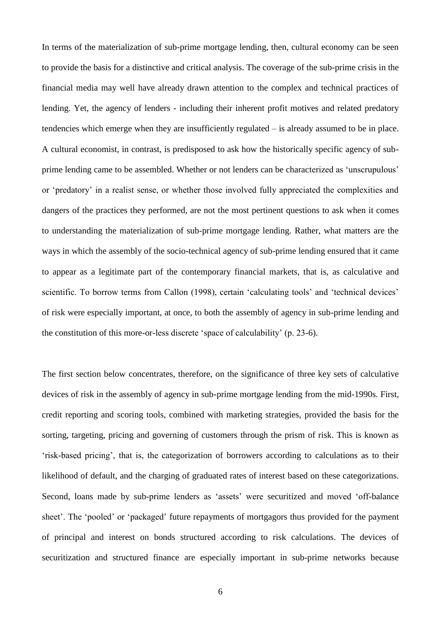In terms of the materialization of sub-prime mortgage lending, then, cultural economy can be seen to provide the basis for a distinctive and critical analysis. The coverage of the sub-prime crisis in the financial media may well have already drawn attention to the complex and technical practices of lending. Yet, the agency of lenders - including their inherent profit motives and related predatory tendencies which emerge when they are insufficiently regulated – is already assumed to be in place. A cultural economist, in contrast, is predisposed to ask how the historically specific agency of subprime lending came to be assembled. Whether or not lenders can be characterized as 'unscrupulous' or 'predatory' in a realist sense, or whether those involved fully appreciated the complexities and dangers of the practices they performed, are not the most pertinent questions to ask when it comes to understanding the materialization of sub-prime mortgage lending. Rather, what matters are the ways in which the assembly of the socio-technical agency of sub-prime lending ensured that it came to appear as a legitimate part of the contemporary financial markets, that is, as calculative and scientific. To borrow terms from Callon (1998), certain 'calculating tools' and 'technical devices' of risk were especially important, at once, to both the assembly of agency in sub-prime lending and the constitution of this more-or-less discrete 'space of calculability' (p. 23-6).

The first section below concentrates, therefore, on the significance of three key sets of calculative devices of risk in the assembly of agency in sub-prime mortgage lending from the mid-1990s. First, credit reporting and scoring tools, combined with marketing strategies, provided the basis for the sorting, targeting, pricing and governing of customers through the prism of risk. This is known as 'risk-based pricing', that is, the categorization of borrowers according to calculations as to their likelihood of default, and the charging of graduated rates of interest based on these categorizations. Second, loans made by sub-prime lenders as 'assets' were securitized and moved 'off-balance sheet'. The 'pooled' or 'packaged' future repayments of mortgagors thus provided for the payment of principal and interest on bonds structured according to risk calculations. The devices of securitization and structured finance are especially important in sub-prime networks because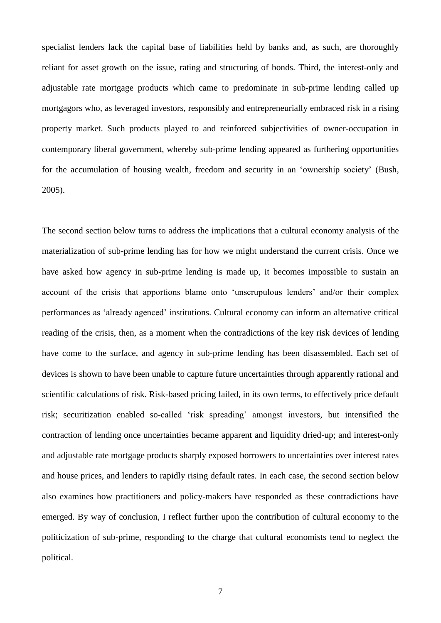specialist lenders lack the capital base of liabilities held by banks and, as such, are thoroughly reliant for asset growth on the issue, rating and structuring of bonds. Third, the interest-only and adjustable rate mortgage products which came to predominate in sub-prime lending called up mortgagors who, as leveraged investors, responsibly and entrepreneurially embraced risk in a rising property market. Such products played to and reinforced subjectivities of owner-occupation in contemporary liberal government, whereby sub-prime lending appeared as furthering opportunities for the accumulation of housing wealth, freedom and security in an 'ownership society' (Bush, 2005).

The second section below turns to address the implications that a cultural economy analysis of the materialization of sub-prime lending has for how we might understand the current crisis. Once we have asked how agency in sub-prime lending is made up, it becomes impossible to sustain an account of the crisis that apportions blame onto 'unscrupulous lenders' and/or their complex performances as 'already agenced' institutions. Cultural economy can inform an alternative critical reading of the crisis, then, as a moment when the contradictions of the key risk devices of lending have come to the surface, and agency in sub-prime lending has been disassembled. Each set of devices is shown to have been unable to capture future uncertainties through apparently rational and scientific calculations of risk. Risk-based pricing failed, in its own terms, to effectively price default risk; securitization enabled so-called 'risk spreading' amongst investors, but intensified the contraction of lending once uncertainties became apparent and liquidity dried-up; and interest-only and adjustable rate mortgage products sharply exposed borrowers to uncertainties over interest rates and house prices, and lenders to rapidly rising default rates. In each case, the second section below also examines how practitioners and policy-makers have responded as these contradictions have emerged. By way of conclusion, I reflect further upon the contribution of cultural economy to the politicization of sub-prime, responding to the charge that cultural economists tend to neglect the political.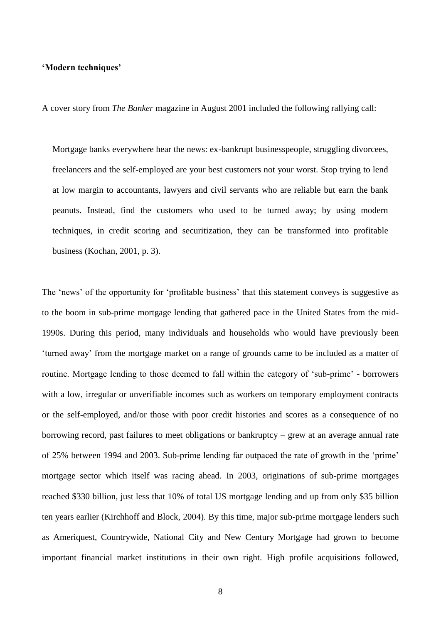#### **'Modern techniques'**

A cover story from *The Banker* magazine in August 2001 included the following rallying call:

Mortgage banks everywhere hear the news: ex-bankrupt businesspeople, struggling divorcees, freelancers and the self-employed are your best customers not your worst. Stop trying to lend at low margin to accountants, lawyers and civil servants who are reliable but earn the bank peanuts. Instead, find the customers who used to be turned away; by using modern techniques, in credit scoring and securitization, they can be transformed into profitable business (Kochan, 2001, p. 3).

The 'news' of the opportunity for 'profitable business' that this statement conveys is suggestive as to the boom in sub-prime mortgage lending that gathered pace in the United States from the mid-1990s. During this period, many individuals and households who would have previously been 'turned away' from the mortgage market on a range of grounds came to be included as a matter of routine. Mortgage lending to those deemed to fall within the category of 'sub-prime' - borrowers with a low, irregular or unverifiable incomes such as workers on temporary employment contracts or the self-employed, and/or those with poor credit histories and scores as a consequence of no borrowing record, past failures to meet obligations or bankruptcy – grew at an average annual rate of 25% between 1994 and 2003. Sub-prime lending far outpaced the rate of growth in the 'prime' mortgage sector which itself was racing ahead. In 2003, originations of sub-prime mortgages reached \$330 billion, just less that 10% of total US mortgage lending and up from only \$35 billion ten years earlier (Kirchhoff and Block, 2004). By this time, major sub-prime mortgage lenders such as Ameriquest, Countrywide, National City and New Century Mortgage had grown to become important financial market institutions in their own right. High profile acquisitions followed,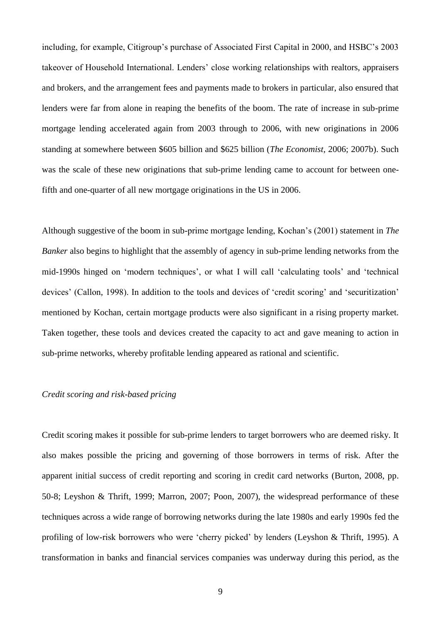including, for example, Citigroup's purchase of Associated First Capital in 2000, and HSBC's 2003 takeover of Household International. Lenders' close working relationships with realtors, appraisers and brokers, and the arrangement fees and payments made to brokers in particular, also ensured that lenders were far from alone in reaping the benefits of the boom. The rate of increase in sub-prime mortgage lending accelerated again from 2003 through to 2006, with new originations in 2006 standing at somewhere between \$605 billion and \$625 billion (*The Economist,* 2006; 2007b). Such was the scale of these new originations that sub-prime lending came to account for between onefifth and one-quarter of all new mortgage originations in the US in 2006.

Although suggestive of the boom in sub-prime mortgage lending, Kochan's (2001) statement in *The Banker* also begins to highlight that the assembly of agency in sub-prime lending networks from the mid-1990s hinged on 'modern techniques', or what I will call 'calculating tools' and 'technical devices' (Callon, 1998). In addition to the tools and devices of 'credit scoring' and 'securitization' mentioned by Kochan, certain mortgage products were also significant in a rising property market. Taken together, these tools and devices created the capacity to act and gave meaning to action in sub-prime networks, whereby profitable lending appeared as rational and scientific.

# *Credit scoring and risk-based pricing*

Credit scoring makes it possible for sub-prime lenders to target borrowers who are deemed risky. It also makes possible the pricing and governing of those borrowers in terms of risk. After the apparent initial success of credit reporting and scoring in credit card networks (Burton, 2008, pp. 50-8; Leyshon & Thrift, 1999; Marron, 2007; Poon, 2007), the widespread performance of these techniques across a wide range of borrowing networks during the late 1980s and early 1990s fed the profiling of low-risk borrowers who were 'cherry picked' by lenders (Leyshon & Thrift, 1995). A transformation in banks and financial services companies was underway during this period, as the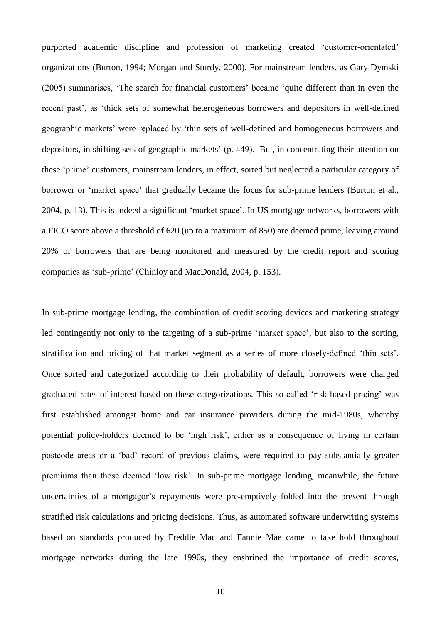purported academic discipline and profession of marketing created 'customer-orientated' organizations (Burton, 1994; Morgan and Sturdy, 2000). For mainstream lenders, as Gary Dymski (2005) summarises, 'The search for financial customers' became 'quite different than in even the recent past', as 'thick sets of somewhat heterogeneous borrowers and depositors in well-defined geographic markets' were replaced by 'thin sets of well-defined and homogeneous borrowers and depositors, in shifting sets of geographic markets' (p. 449). But, in concentrating their attention on these 'prime' customers, mainstream lenders, in effect, sorted but neglected a particular category of borrower or 'market space' that gradually became the focus for sub-prime lenders (Burton et al., 2004, p. 13). This is indeed a significant 'market space'. In US mortgage networks, borrowers with a FICO score above a threshold of 620 (up to a maximum of 850) are deemed prime, leaving around 20% of borrowers that are being monitored and measured by the credit report and scoring companies as 'sub-prime' (Chinloy and MacDonald, 2004, p. 153).

In sub-prime mortgage lending, the combination of credit scoring devices and marketing strategy led contingently not only to the targeting of a sub-prime 'market space', but also to the sorting, stratification and pricing of that market segment as a series of more closely-defined 'thin sets'. Once sorted and categorized according to their probability of default, borrowers were charged graduated rates of interest based on these categorizations. This so-called 'risk-based pricing' was first established amongst home and car insurance providers during the mid-1980s, whereby potential policy-holders deemed to be 'high risk', either as a consequence of living in certain postcode areas or a 'bad' record of previous claims, were required to pay substantially greater premiums than those deemed 'low risk'. In sub-prime mortgage lending, meanwhile, the future uncertainties of a mortgagor's repayments were pre-emptively folded into the present through stratified risk calculations and pricing decisions. Thus, as automated software underwriting systems based on standards produced by Freddie Mac and Fannie Mae came to take hold throughout mortgage networks during the late 1990s, they enshrined the importance of credit scores,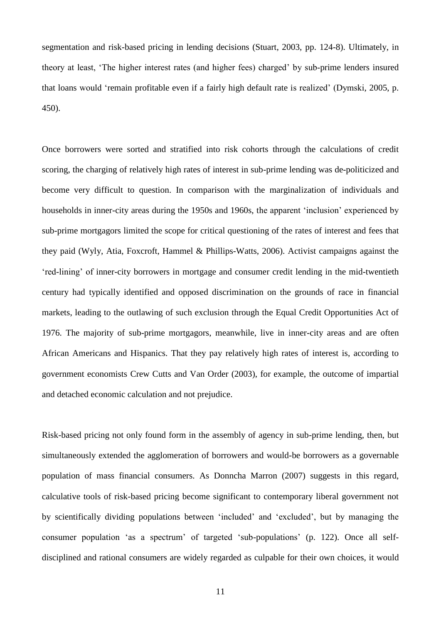segmentation and risk-based pricing in lending decisions (Stuart, 2003, pp. 124-8). Ultimately, in theory at least, 'The higher interest rates (and higher fees) charged' by sub-prime lenders insured that loans would 'remain profitable even if a fairly high default rate is realized' (Dymski, 2005, p. 450).

Once borrowers were sorted and stratified into risk cohorts through the calculations of credit scoring, the charging of relatively high rates of interest in sub-prime lending was de-politicized and become very difficult to question. In comparison with the marginalization of individuals and households in inner-city areas during the 1950s and 1960s, the apparent 'inclusion' experienced by sub-prime mortgagors limited the scope for critical questioning of the rates of interest and fees that they paid (Wyly, Atia, Foxcroft, Hammel & Phillips-Watts, 2006). Activist campaigns against the 'red-lining' of inner-city borrowers in mortgage and consumer credit lending in the mid-twentieth century had typically identified and opposed discrimination on the grounds of race in financial markets, leading to the outlawing of such exclusion through the Equal Credit Opportunities Act of 1976. The majority of sub-prime mortgagors, meanwhile, live in inner-city areas and are often African Americans and Hispanics. That they pay relatively high rates of interest is, according to government economists Crew Cutts and Van Order (2003), for example, the outcome of impartial and detached economic calculation and not prejudice.

Risk-based pricing not only found form in the assembly of agency in sub-prime lending, then, but simultaneously extended the agglomeration of borrowers and would-be borrowers as a governable population of mass financial consumers. As Donncha Marron (2007) suggests in this regard, calculative tools of risk-based pricing become significant to contemporary liberal government not by scientifically dividing populations between 'included' and 'excluded', but by managing the consumer population 'as a spectrum' of targeted 'sub-populations' (p. 122). Once all selfdisciplined and rational consumers are widely regarded as culpable for their own choices, it would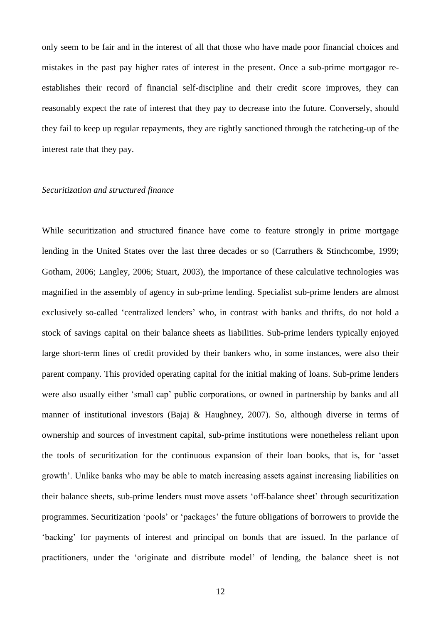only seem to be fair and in the interest of all that those who have made poor financial choices and mistakes in the past pay higher rates of interest in the present. Once a sub-prime mortgagor reestablishes their record of financial self-discipline and their credit score improves, they can reasonably expect the rate of interest that they pay to decrease into the future. Conversely, should they fail to keep up regular repayments, they are rightly sanctioned through the ratcheting-up of the interest rate that they pay.

# *Securitization and structured finance*

While securitization and structured finance have come to feature strongly in prime mortgage lending in the United States over the last three decades or so (Carruthers & Stinchcombe, 1999; Gotham, 2006; Langley, 2006; Stuart, 2003), the importance of these calculative technologies was magnified in the assembly of agency in sub-prime lending. Specialist sub-prime lenders are almost exclusively so-called 'centralized lenders' who, in contrast with banks and thrifts, do not hold a stock of savings capital on their balance sheets as liabilities. Sub-prime lenders typically enjoyed large short-term lines of credit provided by their bankers who, in some instances, were also their parent company. This provided operating capital for the initial making of loans. Sub-prime lenders were also usually either 'small cap' public corporations, or owned in partnership by banks and all manner of institutional investors (Bajaj & Haughney, 2007). So, although diverse in terms of ownership and sources of investment capital, sub-prime institutions were nonetheless reliant upon the tools of securitization for the continuous expansion of their loan books, that is, for 'asset growth'. Unlike banks who may be able to match increasing assets against increasing liabilities on their balance sheets, sub-prime lenders must move assets 'off-balance sheet' through securitization programmes. Securitization 'pools' or 'packages' the future obligations of borrowers to provide the 'backing' for payments of interest and principal on bonds that are issued. In the parlance of practitioners, under the 'originate and distribute model' of lending, the balance sheet is not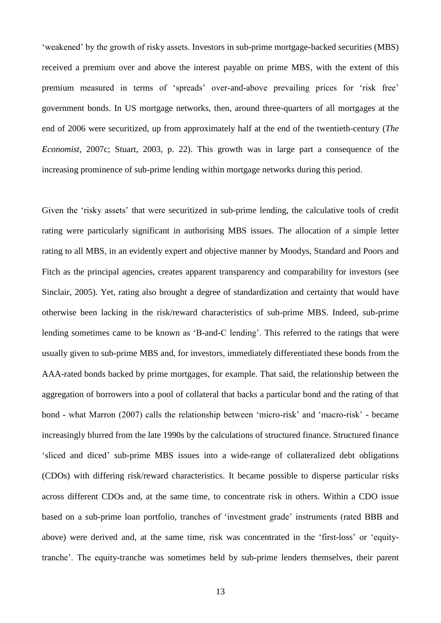'weakened' by the growth of risky assets. Investors in sub-prime mortgage-backed securities (MBS) received a premium over and above the interest payable on prime MBS, with the extent of this premium measured in terms of 'spreads' over-and-above prevailing prices for 'risk free' government bonds. In US mortgage networks, then, around three-quarters of all mortgages at the end of 2006 were securitized, up from approximately half at the end of the twentieth-century (*The Economist,* 2007c; Stuart, 2003, p. 22). This growth was in large part a consequence of the increasing prominence of sub-prime lending within mortgage networks during this period.

Given the 'risky assets' that were securitized in sub-prime lending, the calculative tools of credit rating were particularly significant in authorising MBS issues. The allocation of a simple letter rating to all MBS, in an evidently expert and objective manner by Moodys, Standard and Poors and Fitch as the principal agencies, creates apparent transparency and comparability for investors (see Sinclair, 2005). Yet, rating also brought a degree of standardization and certainty that would have otherwise been lacking in the risk/reward characteristics of sub-prime MBS. Indeed, sub-prime lending sometimes came to be known as 'B-and-C lending'. This referred to the ratings that were usually given to sub-prime MBS and, for investors, immediately differentiated these bonds from the AAA-rated bonds backed by prime mortgages, for example. That said, the relationship between the aggregation of borrowers into a pool of collateral that backs a particular bond and the rating of that bond - what Marron (2007) calls the relationship between 'micro-risk' and 'macro-risk' - became increasingly blurred from the late 1990s by the calculations of structured finance. Structured finance 'sliced and diced' sub-prime MBS issues into a wide-range of collateralized debt obligations (CDOs) with differing risk/reward characteristics. It became possible to disperse particular risks across different CDOs and, at the same time, to concentrate risk in others. Within a CDO issue based on a sub-prime loan portfolio, tranches of 'investment grade' instruments (rated BBB and above) were derived and, at the same time, risk was concentrated in the 'first-loss' or 'equitytranche'. The equity-tranche was sometimes held by sub-prime lenders themselves, their parent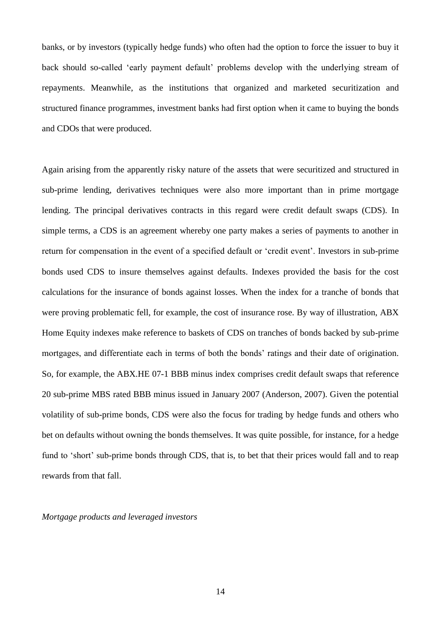banks, or by investors (typically hedge funds) who often had the option to force the issuer to buy it back should so-called 'early payment default' problems develop with the underlying stream of repayments. Meanwhile, as the institutions that organized and marketed securitization and structured finance programmes, investment banks had first option when it came to buying the bonds and CDOs that were produced.

Again arising from the apparently risky nature of the assets that were securitized and structured in sub-prime lending, derivatives techniques were also more important than in prime mortgage lending. The principal derivatives contracts in this regard were credit default swaps (CDS). In simple terms, a CDS is an agreement whereby one party makes a series of payments to another in return for compensation in the event of a specified default or 'credit event'. Investors in sub-prime bonds used CDS to insure themselves against defaults. Indexes provided the basis for the cost calculations for the insurance of bonds against losses. When the index for a tranche of bonds that were proving problematic fell, for example, the cost of insurance rose. By way of illustration, ABX Home Equity indexes make reference to baskets of CDS on tranches of bonds backed by sub-prime mortgages, and differentiate each in terms of both the bonds' ratings and their date of origination. So, for example, the ABX.HE 07-1 BBB minus index comprises credit default swaps that reference 20 sub-prime MBS rated BBB minus issued in January 2007 (Anderson, 2007). Given the potential volatility of sub-prime bonds, CDS were also the focus for trading by hedge funds and others who bet on defaults without owning the bonds themselves. It was quite possible, for instance, for a hedge fund to 'short' sub-prime bonds through CDS, that is, to bet that their prices would fall and to reap rewards from that fall.

*Mortgage products and leveraged investors*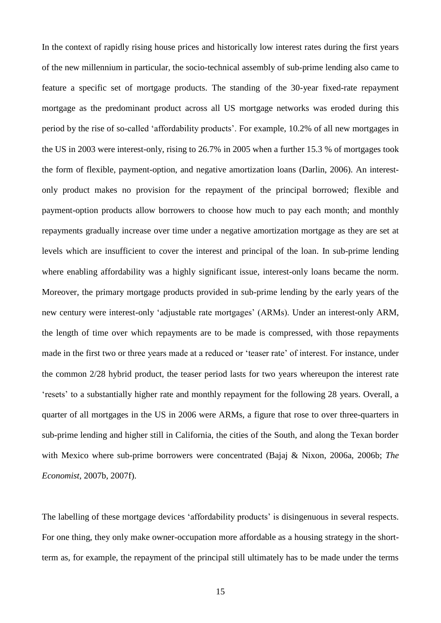In the context of rapidly rising house prices and historically low interest rates during the first years of the new millennium in particular, the socio-technical assembly of sub-prime lending also came to feature a specific set of mortgage products. The standing of the 30-year fixed-rate repayment mortgage as the predominant product across all US mortgage networks was eroded during this period by the rise of so-called 'affordability products'. For example, 10.2% of all new mortgages in the US in 2003 were interest-only, rising to 26.7% in 2005 when a further 15.3 % of mortgages took the form of flexible, payment-option, and negative amortization loans (Darlin, 2006). An interestonly product makes no provision for the repayment of the principal borrowed; flexible and payment-option products allow borrowers to choose how much to pay each month; and monthly repayments gradually increase over time under a negative amortization mortgage as they are set at levels which are insufficient to cover the interest and principal of the loan. In sub-prime lending where enabling affordability was a highly significant issue, interest-only loans became the norm. Moreover, the primary mortgage products provided in sub-prime lending by the early years of the new century were interest-only 'adjustable rate mortgages' (ARMs). Under an interest-only ARM, the length of time over which repayments are to be made is compressed, with those repayments made in the first two or three years made at a reduced or 'teaser rate' of interest. For instance, under the common 2/28 hybrid product, the teaser period lasts for two years whereupon the interest rate 'resets' to a substantially higher rate and monthly repayment for the following 28 years. Overall, a quarter of all mortgages in the US in 2006 were ARMs, a figure that rose to over three-quarters in sub-prime lending and higher still in California, the cities of the South, and along the Texan border with Mexico where sub-prime borrowers were concentrated (Bajaj & Nixon, 2006a, 2006b; *The Economist,* 2007b, 2007f).

The labelling of these mortgage devices 'affordability products' is disingenuous in several respects. For one thing, they only make owner-occupation more affordable as a housing strategy in the shortterm as, for example, the repayment of the principal still ultimately has to be made under the terms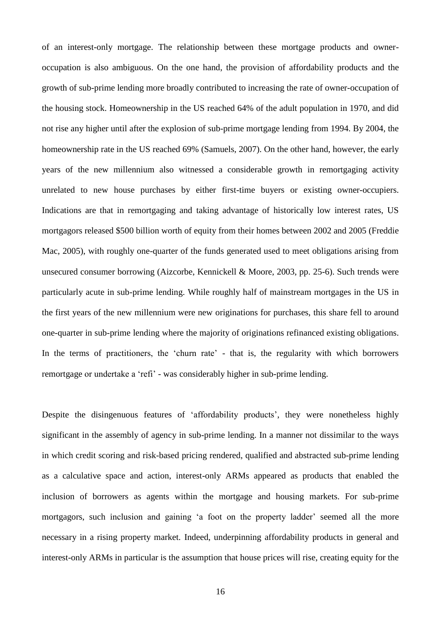of an interest-only mortgage. The relationship between these mortgage products and owneroccupation is also ambiguous. On the one hand, the provision of affordability products and the growth of sub-prime lending more broadly contributed to increasing the rate of owner-occupation of the housing stock. Homeownership in the US reached 64% of the adult population in 1970, and did not rise any higher until after the explosion of sub-prime mortgage lending from 1994. By 2004, the homeownership rate in the US reached 69% (Samuels, 2007). On the other hand, however, the early years of the new millennium also witnessed a considerable growth in remortgaging activity unrelated to new house purchases by either first-time buyers or existing owner-occupiers. Indications are that in remortgaging and taking advantage of historically low interest rates, US mortgagors released \$500 billion worth of equity from their homes between 2002 and 2005 (Freddie Mac, 2005), with roughly one-quarter of the funds generated used to meet obligations arising from unsecured consumer borrowing (Aizcorbe, Kennickell & Moore, 2003, pp. 25-6). Such trends were particularly acute in sub-prime lending. While roughly half of mainstream mortgages in the US in the first years of the new millennium were new originations for purchases, this share fell to around one-quarter in sub-prime lending where the majority of originations refinanced existing obligations. In the terms of practitioners, the 'churn rate' - that is, the regularity with which borrowers remortgage or undertake a 'refi' - was considerably higher in sub-prime lending.

Despite the disingenuous features of 'affordability products', they were nonetheless highly significant in the assembly of agency in sub-prime lending. In a manner not dissimilar to the ways in which credit scoring and risk-based pricing rendered, qualified and abstracted sub-prime lending as a calculative space and action, interest-only ARMs appeared as products that enabled the inclusion of borrowers as agents within the mortgage and housing markets. For sub-prime mortgagors, such inclusion and gaining 'a foot on the property ladder' seemed all the more necessary in a rising property market. Indeed, underpinning affordability products in general and interest-only ARMs in particular is the assumption that house prices will rise, creating equity for the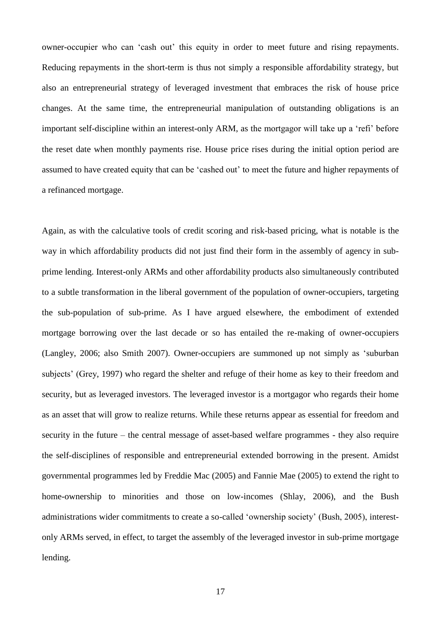owner-occupier who can 'cash out' this equity in order to meet future and rising repayments. Reducing repayments in the short-term is thus not simply a responsible affordability strategy, but also an entrepreneurial strategy of leveraged investment that embraces the risk of house price changes. At the same time, the entrepreneurial manipulation of outstanding obligations is an important self-discipline within an interest-only ARM, as the mortgagor will take up a 'refi' before the reset date when monthly payments rise. House price rises during the initial option period are assumed to have created equity that can be 'cashed out' to meet the future and higher repayments of a refinanced mortgage.

Again, as with the calculative tools of credit scoring and risk-based pricing, what is notable is the way in which affordability products did not just find their form in the assembly of agency in subprime lending. Interest-only ARMs and other affordability products also simultaneously contributed to a subtle transformation in the liberal government of the population of owner-occupiers, targeting the sub-population of sub-prime. As I have argued elsewhere, the embodiment of extended mortgage borrowing over the last decade or so has entailed the re-making of owner-occupiers (Langley, 2006; also Smith 2007). Owner-occupiers are summoned up not simply as 'suburban subjects' (Grey, 1997) who regard the shelter and refuge of their home as key to their freedom and security, but as leveraged investors. The leveraged investor is a mortgagor who regards their home as an asset that will grow to realize returns. While these returns appear as essential for freedom and security in the future – the central message of asset-based welfare programmes - they also require the self-disciplines of responsible and entrepreneurial extended borrowing in the present. Amidst governmental programmes led by Freddie Mac (2005) and Fannie Mae (2005) to extend the right to home-ownership to minorities and those on low-incomes (Shlay, 2006), and the Bush administrations wider commitments to create a so-called 'ownership society' (Bush, 2005), interestonly ARMs served, in effect, to target the assembly of the leveraged investor in sub-prime mortgage lending.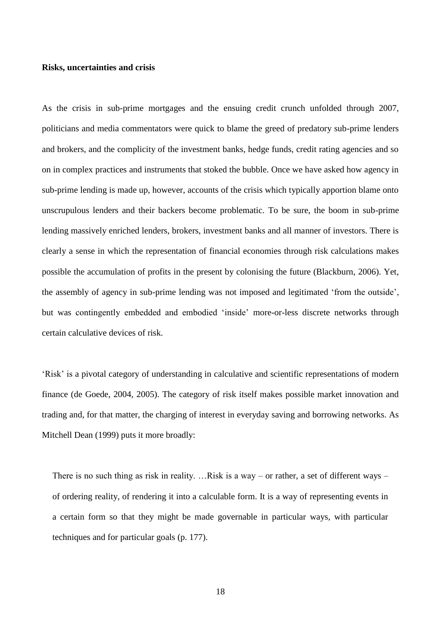#### **Risks, uncertainties and crisis**

As the crisis in sub-prime mortgages and the ensuing credit crunch unfolded through 2007, politicians and media commentators were quick to blame the greed of predatory sub-prime lenders and brokers, and the complicity of the investment banks, hedge funds, credit rating agencies and so on in complex practices and instruments that stoked the bubble. Once we have asked how agency in sub-prime lending is made up, however, accounts of the crisis which typically apportion blame onto unscrupulous lenders and their backers become problematic. To be sure, the boom in sub-prime lending massively enriched lenders, brokers, investment banks and all manner of investors. There is clearly a sense in which the representation of financial economies through risk calculations makes possible the accumulation of profits in the present by colonising the future (Blackburn, 2006). Yet, the assembly of agency in sub-prime lending was not imposed and legitimated 'from the outside', but was contingently embedded and embodied 'inside' more-or-less discrete networks through certain calculative devices of risk.

'Risk' is a pivotal category of understanding in calculative and scientific representations of modern finance (de Goede, 2004, 2005). The category of risk itself makes possible market innovation and trading and, for that matter, the charging of interest in everyday saving and borrowing networks. As Mitchell Dean (1999) puts it more broadly:

There is no such thing as risk in reality. ...Risk is a way – or rather, a set of different ways – of ordering reality, of rendering it into a calculable form. It is a way of representing events in a certain form so that they might be made governable in particular ways, with particular techniques and for particular goals (p. 177).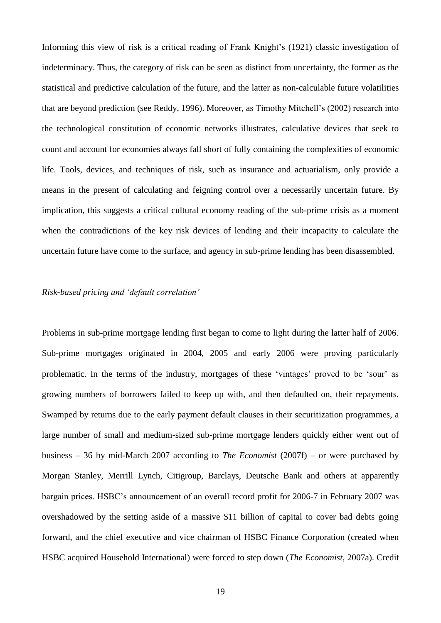Informing this view of risk is a critical reading of Frank Knight's (1921) classic investigation of indeterminacy. Thus, the category of risk can be seen as distinct from uncertainty, the former as the statistical and predictive calculation of the future, and the latter as non-calculable future volatilities that are beyond prediction (see Reddy, 1996). Moreover, as Timothy Mitchell's (2002) research into the technological constitution of economic networks illustrates, calculative devices that seek to count and account for economies always fall short of fully containing the complexities of economic life. Tools, devices, and techniques of risk, such as insurance and actuarialism, only provide a means in the present of calculating and feigning control over a necessarily uncertain future. By implication, this suggests a critical cultural economy reading of the sub-prime crisis as a moment when the contradictions of the key risk devices of lending and their incapacity to calculate the uncertain future have come to the surface, and agency in sub-prime lending has been disassembled.

# *Risk-based pricing and 'default correlation'*

Problems in sub-prime mortgage lending first began to come to light during the latter half of 2006. Sub-prime mortgages originated in 2004, 2005 and early 2006 were proving particularly problematic. In the terms of the industry, mortgages of these 'vintages' proved to be 'sour' as growing numbers of borrowers failed to keep up with, and then defaulted on, their repayments. Swamped by returns due to the early payment default clauses in their securitization programmes, a large number of small and medium-sized sub-prime mortgage lenders quickly either went out of business – 36 by mid-March 2007 according to *The Economist* (2007f) – or were purchased by Morgan Stanley, Merrill Lynch, Citigroup, Barclays, Deutsche Bank and others at apparently bargain prices. HSBC's announcement of an overall record profit for 2006-7 in February 2007 was overshadowed by the setting aside of a massive \$11 billion of capital to cover bad debts going forward, and the chief executive and vice chairman of HSBC Finance Corporation (created when HSBC acquired Household International) were forced to step down (*The Economist,* 2007a). Credit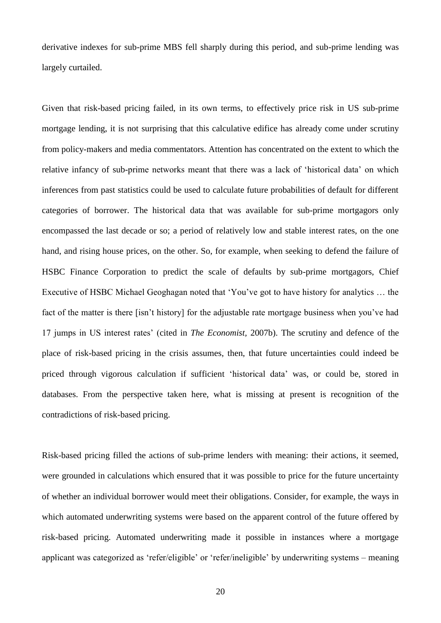derivative indexes for sub-prime MBS fell sharply during this period, and sub-prime lending was largely curtailed.

Given that risk-based pricing failed, in its own terms, to effectively price risk in US sub-prime mortgage lending, it is not surprising that this calculative edifice has already come under scrutiny from policy-makers and media commentators. Attention has concentrated on the extent to which the relative infancy of sub-prime networks meant that there was a lack of 'historical data' on which inferences from past statistics could be used to calculate future probabilities of default for different categories of borrower. The historical data that was available for sub-prime mortgagors only encompassed the last decade or so; a period of relatively low and stable interest rates, on the one hand, and rising house prices, on the other. So, for example, when seeking to defend the failure of HSBC Finance Corporation to predict the scale of defaults by sub-prime mortgagors, Chief Executive of HSBC Michael Geoghagan noted that 'You've got to have history for analytics … the fact of the matter is there [isn't history] for the adjustable rate mortgage business when you've had 17 jumps in US interest rates' (cited in *The Economist,* 2007b). The scrutiny and defence of the place of risk-based pricing in the crisis assumes, then, that future uncertainties could indeed be priced through vigorous calculation if sufficient 'historical data' was, or could be, stored in databases. From the perspective taken here, what is missing at present is recognition of the contradictions of risk-based pricing.

Risk-based pricing filled the actions of sub-prime lenders with meaning: their actions, it seemed, were grounded in calculations which ensured that it was possible to price for the future uncertainty of whether an individual borrower would meet their obligations. Consider, for example, the ways in which automated underwriting systems were based on the apparent control of the future offered by risk-based pricing. Automated underwriting made it possible in instances where a mortgage applicant was categorized as 'refer/eligible' or 'refer/ineligible' by underwriting systems – meaning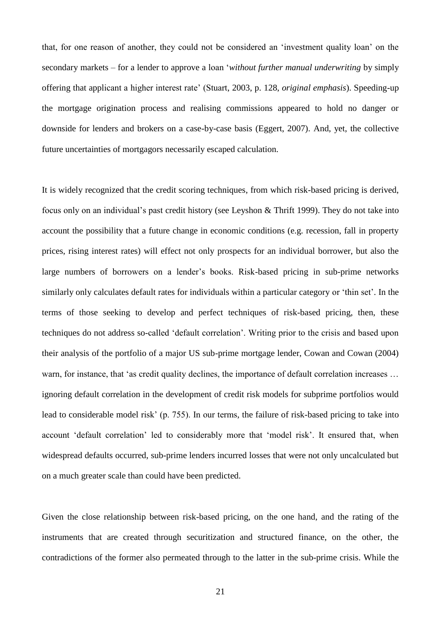that, for one reason of another, they could not be considered an 'investment quality loan' on the secondary markets – for a lender to approve a loan '*without further manual underwriting* by simply offering that applicant a higher interest rate' (Stuart, 2003, p. 128, *original emphasis*). Speeding-up the mortgage origination process and realising commissions appeared to hold no danger or downside for lenders and brokers on a case-by-case basis (Eggert, 2007). And, yet, the collective future uncertainties of mortgagors necessarily escaped calculation.

It is widely recognized that the credit scoring techniques, from which risk-based pricing is derived, focus only on an individual's past credit history (see Leyshon & Thrift 1999). They do not take into account the possibility that a future change in economic conditions (e.g. recession, fall in property prices, rising interest rates) will effect not only prospects for an individual borrower, but also the large numbers of borrowers on a lender's books. Risk-based pricing in sub-prime networks similarly only calculates default rates for individuals within a particular category or 'thin set'. In the terms of those seeking to develop and perfect techniques of risk-based pricing, then, these techniques do not address so-called 'default correlation'. Writing prior to the crisis and based upon their analysis of the portfolio of a major US sub-prime mortgage lender, Cowan and Cowan (2004) warn, for instance, that 'as credit quality declines, the importance of default correlation increases ... ignoring default correlation in the development of credit risk models for subprime portfolios would lead to considerable model risk' (p. 755). In our terms, the failure of risk-based pricing to take into account 'default correlation' led to considerably more that 'model risk'. It ensured that, when widespread defaults occurred, sub-prime lenders incurred losses that were not only uncalculated but on a much greater scale than could have been predicted.

Given the close relationship between risk-based pricing, on the one hand, and the rating of the instruments that are created through securitization and structured finance, on the other, the contradictions of the former also permeated through to the latter in the sub-prime crisis. While the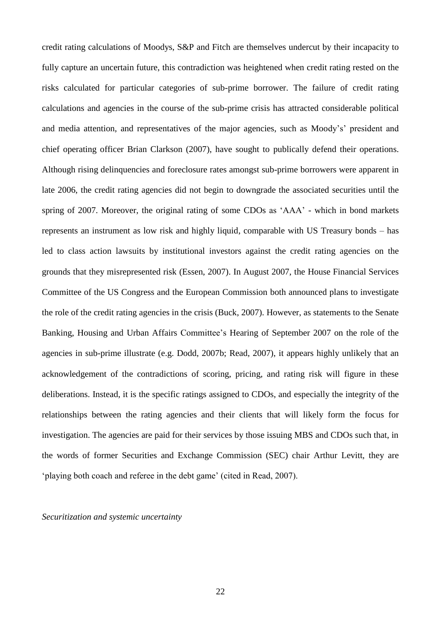credit rating calculations of Moodys, S&P and Fitch are themselves undercut by their incapacity to fully capture an uncertain future, this contradiction was heightened when credit rating rested on the risks calculated for particular categories of sub-prime borrower. The failure of credit rating calculations and agencies in the course of the sub-prime crisis has attracted considerable political and media attention, and representatives of the major agencies, such as Moody's' president and chief operating officer Brian Clarkson (2007), have sought to publically defend their operations. Although rising delinquencies and foreclosure rates amongst sub-prime borrowers were apparent in late 2006, the credit rating agencies did not begin to downgrade the associated securities until the spring of 2007. Moreover, the original rating of some CDOs as 'AAA' - which in bond markets represents an instrument as low risk and highly liquid, comparable with US Treasury bonds – has led to class action lawsuits by institutional investors against the credit rating agencies on the grounds that they misrepresented risk (Essen, 2007). In August 2007, the House Financial Services Committee of the US Congress and the European Commission both announced plans to investigate the role of the credit rating agencies in the crisis (Buck, 2007). However, as statements to the Senate Banking, Housing and Urban Affairs Committee's Hearing of September 2007 on the role of the agencies in sub-prime illustrate (e.g. Dodd, 2007b; Read, 2007), it appears highly unlikely that an acknowledgement of the contradictions of scoring, pricing, and rating risk will figure in these deliberations. Instead, it is the specific ratings assigned to CDOs, and especially the integrity of the relationships between the rating agencies and their clients that will likely form the focus for investigation. The agencies are paid for their services by those issuing MBS and CDOs such that, in the words of former Securities and Exchange Commission (SEC) chair Arthur Levitt, they are 'playing both coach and referee in the debt game' (cited in Read, 2007).

*Securitization and systemic uncertainty*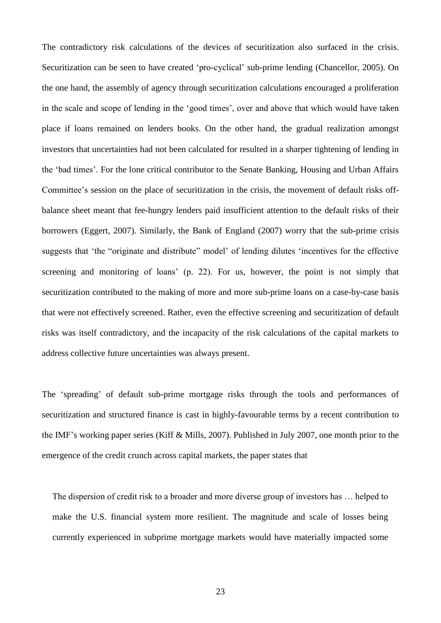The contradictory risk calculations of the devices of securitization also surfaced in the crisis. Securitization can be seen to have created 'pro-cyclical' sub-prime lending (Chancellor, 2005). On the one hand, the assembly of agency through securitization calculations encouraged a proliferation in the scale and scope of lending in the 'good times', over and above that which would have taken place if loans remained on lenders books. On the other hand, the gradual realization amongst investors that uncertainties had not been calculated for resulted in a sharper tightening of lending in the 'bad times'. For the lone critical contributor to the Senate Banking, Housing and Urban Affairs Committee's session on the place of securitization in the crisis, the movement of default risks offbalance sheet meant that fee-hungry lenders paid insufficient attention to the default risks of their borrowers (Eggert, 2007). Similarly, the Bank of England (2007) worry that the sub-prime crisis suggests that 'the "originate and distribute" model' of lending dilutes 'incentives for the effective screening and monitoring of loans' (p. 22). For us, however, the point is not simply that securitization contributed to the making of more and more sub-prime loans on a case-by-case basis that were not effectively screened. Rather, even the effective screening and securitization of default risks was itself contradictory, and the incapacity of the risk calculations of the capital markets to address collective future uncertainties was always present.

The 'spreading' of default sub-prime mortgage risks through the tools and performances of securitization and structured finance is cast in highly-favourable terms by a recent contribution to the IMF's working paper series (Kiff & Mills, 2007). Published in July 2007, one month prior to the emergence of the credit crunch across capital markets, the paper states that

The dispersion of credit risk to a broader and more diverse group of investors has … helped to make the U.S. financial system more resilient. The magnitude and scale of losses being currently experienced in subprime mortgage markets would have materially impacted some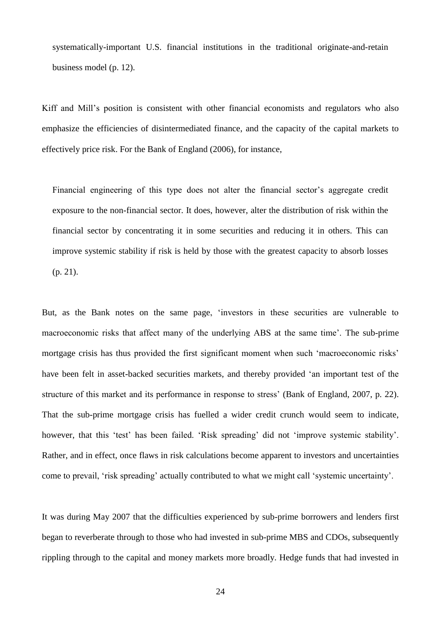systematically-important U.S. financial institutions in the traditional originate-and-retain business model (p. 12).

Kiff and Mill's position is consistent with other financial economists and regulators who also emphasize the efficiencies of disintermediated finance, and the capacity of the capital markets to effectively price risk. For the Bank of England (2006), for instance,

Financial engineering of this type does not alter the financial sector's aggregate credit exposure to the non-financial sector. It does, however, alter the distribution of risk within the financial sector by concentrating it in some securities and reducing it in others. This can improve systemic stability if risk is held by those with the greatest capacity to absorb losses (p. 21).

But, as the Bank notes on the same page, 'investors in these securities are vulnerable to macroeconomic risks that affect many of the underlying ABS at the same time'. The sub-prime mortgage crisis has thus provided the first significant moment when such 'macroeconomic risks' have been felt in asset-backed securities markets, and thereby provided 'an important test of the structure of this market and its performance in response to stress' (Bank of England, 2007, p. 22). That the sub-prime mortgage crisis has fuelled a wider credit crunch would seem to indicate, however, that this 'test' has been failed. 'Risk spreading' did not 'improve systemic stability'. Rather, and in effect, once flaws in risk calculations become apparent to investors and uncertainties come to prevail, 'risk spreading' actually contributed to what we might call 'systemic uncertainty'.

It was during May 2007 that the difficulties experienced by sub-prime borrowers and lenders first began to reverberate through to those who had invested in sub-prime MBS and CDOs, subsequently rippling through to the capital and money markets more broadly. Hedge funds that had invested in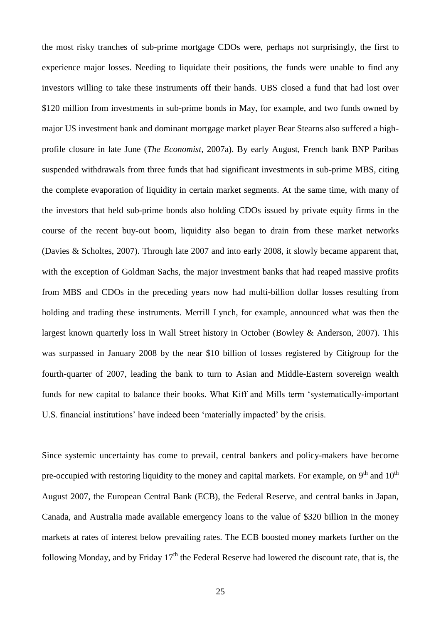the most risky tranches of sub-prime mortgage CDOs were, perhaps not surprisingly, the first to experience major losses. Needing to liquidate their positions, the funds were unable to find any investors willing to take these instruments off their hands. UBS closed a fund that had lost over \$120 million from investments in sub-prime bonds in May, for example, and two funds owned by major US investment bank and dominant mortgage market player Bear Stearns also suffered a highprofile closure in late June (*The Economist,* 2007a). By early August, French bank BNP Paribas suspended withdrawals from three funds that had significant investments in sub-prime MBS, citing the complete evaporation of liquidity in certain market segments. At the same time, with many of the investors that held sub-prime bonds also holding CDOs issued by private equity firms in the course of the recent buy-out boom, liquidity also began to drain from these market networks (Davies & Scholtes, 2007). Through late 2007 and into early 2008, it slowly became apparent that, with the exception of Goldman Sachs, the major investment banks that had reaped massive profits from MBS and CDOs in the preceding years now had multi-billion dollar losses resulting from holding and trading these instruments. Merrill Lynch, for example, announced what was then the largest known quarterly loss in Wall Street history in October (Bowley & Anderson, 2007). This was surpassed in January 2008 by the near \$10 billion of losses registered by Citigroup for the fourth-quarter of 2007, leading the bank to turn to Asian and Middle-Eastern sovereign wealth funds for new capital to balance their books. What Kiff and Mills term 'systematically-important U.S. financial institutions' have indeed been 'materially impacted' by the crisis.

Since systemic uncertainty has come to prevail, central bankers and policy-makers have become pre-occupied with restoring liquidity to the money and capital markets. For example, on  $9<sup>th</sup>$  and  $10<sup>th</sup>$ August 2007, the European Central Bank (ECB), the Federal Reserve, and central banks in Japan, Canada, and Australia made available emergency loans to the value of \$320 billion in the money markets at rates of interest below prevailing rates. The ECB boosted money markets further on the following Monday, and by Friday  $17<sup>th</sup>$  the Federal Reserve had lowered the discount rate, that is, the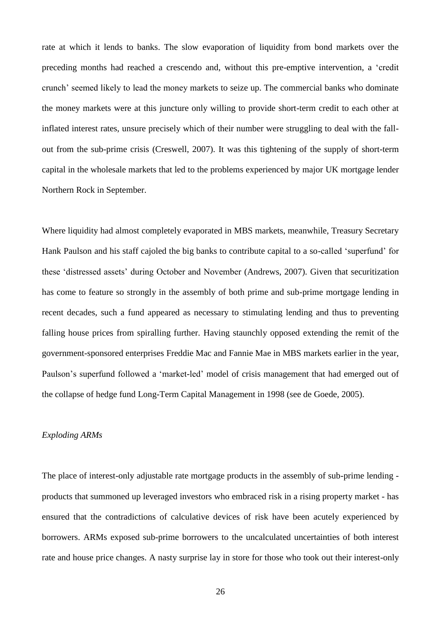rate at which it lends to banks. The slow evaporation of liquidity from bond markets over the preceding months had reached a crescendo and, without this pre-emptive intervention, a 'credit crunch' seemed likely to lead the money markets to seize up. The commercial banks who dominate the money markets were at this juncture only willing to provide short-term credit to each other at inflated interest rates, unsure precisely which of their number were struggling to deal with the fallout from the sub-prime crisis (Creswell, 2007). It was this tightening of the supply of short-term capital in the wholesale markets that led to the problems experienced by major UK mortgage lender Northern Rock in September.

Where liquidity had almost completely evaporated in MBS markets, meanwhile, Treasury Secretary Hank Paulson and his staff cajoled the big banks to contribute capital to a so-called 'superfund' for these 'distressed assets' during October and November (Andrews, 2007). Given that securitization has come to feature so strongly in the assembly of both prime and sub-prime mortgage lending in recent decades, such a fund appeared as necessary to stimulating lending and thus to preventing falling house prices from spiralling further. Having staunchly opposed extending the remit of the government-sponsored enterprises Freddie Mac and Fannie Mae in MBS markets earlier in the year, Paulson's superfund followed a 'market-led' model of crisis management that had emerged out of the collapse of hedge fund Long-Term Capital Management in 1998 (see de Goede, 2005).

# *Exploding ARMs*

The place of interest-only adjustable rate mortgage products in the assembly of sub-prime lending products that summoned up leveraged investors who embraced risk in a rising property market - has ensured that the contradictions of calculative devices of risk have been acutely experienced by borrowers. ARMs exposed sub-prime borrowers to the uncalculated uncertainties of both interest rate and house price changes. A nasty surprise lay in store for those who took out their interest-only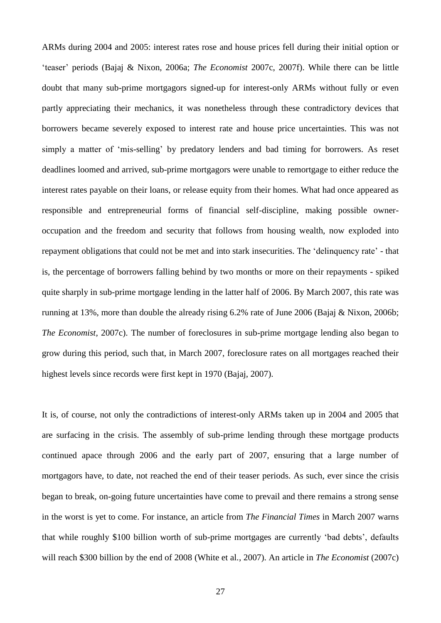ARMs during 2004 and 2005: interest rates rose and house prices fell during their initial option or 'teaser' periods (Bajaj & Nixon, 2006a; *The Economist* 2007c, 2007f). While there can be little doubt that many sub-prime mortgagors signed-up for interest-only ARMs without fully or even partly appreciating their mechanics, it was nonetheless through these contradictory devices that borrowers became severely exposed to interest rate and house price uncertainties. This was not simply a matter of 'mis-selling' by predatory lenders and bad timing for borrowers. As reset deadlines loomed and arrived, sub-prime mortgagors were unable to remortgage to either reduce the interest rates payable on their loans, or release equity from their homes. What had once appeared as responsible and entrepreneurial forms of financial self-discipline, making possible owneroccupation and the freedom and security that follows from housing wealth, now exploded into repayment obligations that could not be met and into stark insecurities. The 'delinquency rate' - that is, the percentage of borrowers falling behind by two months or more on their repayments - spiked quite sharply in sub-prime mortgage lending in the latter half of 2006. By March 2007, this rate was running at 13%, more than double the already rising 6.2% rate of June 2006 (Bajaj & Nixon, 2006b; *The Economist,* 2007c). The number of foreclosures in sub-prime mortgage lending also began to grow during this period, such that, in March 2007, foreclosure rates on all mortgages reached their highest levels since records were first kept in 1970 (Bajaj, 2007).

It is, of course, not only the contradictions of interest-only ARMs taken up in 2004 and 2005 that are surfacing in the crisis. The assembly of sub-prime lending through these mortgage products continued apace through 2006 and the early part of 2007, ensuring that a large number of mortgagors have, to date, not reached the end of their teaser periods. As such, ever since the crisis began to break, on-going future uncertainties have come to prevail and there remains a strong sense in the worst is yet to come. For instance, an article from *The Financial Times* in March 2007 warns that while roughly \$100 billion worth of sub-prime mortgages are currently 'bad debts', defaults will reach \$300 billion by the end of 2008 (White et al., 2007). An article in *The Economist* (2007c)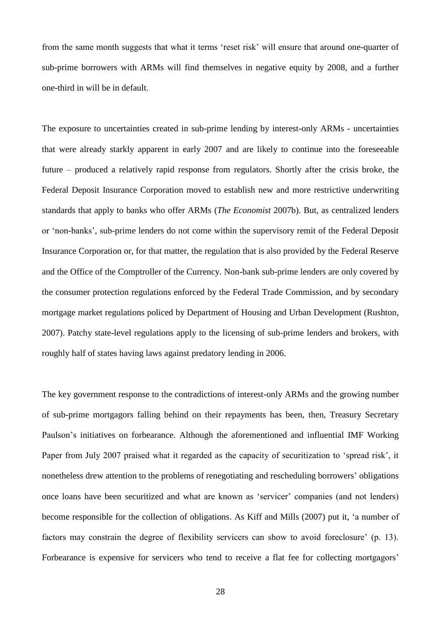from the same month suggests that what it terms 'reset risk' will ensure that around one-quarter of sub-prime borrowers with ARMs will find themselves in negative equity by 2008, and a further one-third in will be in default.

The exposure to uncertainties created in sub-prime lending by interest-only ARMs - uncertainties that were already starkly apparent in early 2007 and are likely to continue into the foreseeable future – produced a relatively rapid response from regulators. Shortly after the crisis broke, the Federal Deposit Insurance Corporation moved to establish new and more restrictive underwriting standards that apply to banks who offer ARMs (*The Economist* 2007b). But, as centralized lenders or 'non-banks', sub-prime lenders do not come within the supervisory remit of the Federal Deposit Insurance Corporation or, for that matter, the regulation that is also provided by the Federal Reserve and the Office of the Comptroller of the Currency. Non-bank sub-prime lenders are only covered by the consumer protection regulations enforced by the Federal Trade Commission, and by secondary mortgage market regulations policed by Department of Housing and Urban Development (Rushton, 2007). Patchy state-level regulations apply to the licensing of sub-prime lenders and brokers, with roughly half of states having laws against predatory lending in 2006.

The key government response to the contradictions of interest-only ARMs and the growing number of sub-prime mortgagors falling behind on their repayments has been, then, Treasury Secretary Paulson's initiatives on forbearance. Although the aforementioned and influential IMF Working Paper from July 2007 praised what it regarded as the capacity of securitization to 'spread risk', it nonetheless drew attention to the problems of renegotiating and rescheduling borrowers' obligations once loans have been securitized and what are known as 'servicer' companies (and not lenders) become responsible for the collection of obligations. As Kiff and Mills (2007) put it, 'a number of factors may constrain the degree of flexibility servicers can show to avoid foreclosure' (p. 13). Forbearance is expensive for servicers who tend to receive a flat fee for collecting mortgagors'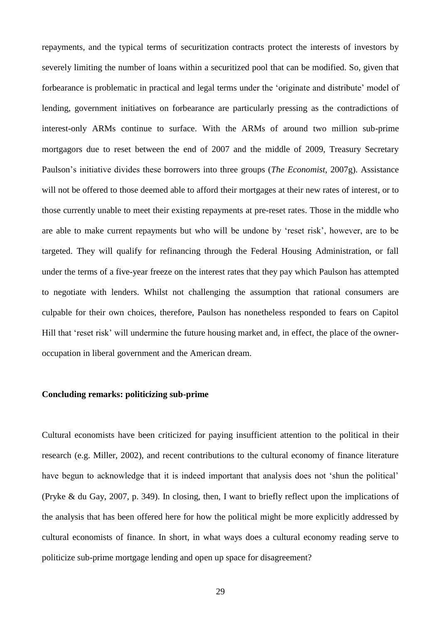repayments, and the typical terms of securitization contracts protect the interests of investors by severely limiting the number of loans within a securitized pool that can be modified. So, given that forbearance is problematic in practical and legal terms under the 'originate and distribute' model of lending, government initiatives on forbearance are particularly pressing as the contradictions of interest-only ARMs continue to surface. With the ARMs of around two million sub-prime mortgagors due to reset between the end of 2007 and the middle of 2009, Treasury Secretary Paulson's initiative divides these borrowers into three groups (*The Economist*, 2007g). Assistance will not be offered to those deemed able to afford their mortgages at their new rates of interest, or to those currently unable to meet their existing repayments at pre-reset rates. Those in the middle who are able to make current repayments but who will be undone by 'reset risk', however, are to be targeted. They will qualify for refinancing through the Federal Housing Administration, or fall under the terms of a five-year freeze on the interest rates that they pay which Paulson has attempted to negotiate with lenders. Whilst not challenging the assumption that rational consumers are culpable for their own choices, therefore, Paulson has nonetheless responded to fears on Capitol Hill that 'reset risk' will undermine the future housing market and, in effect, the place of the owneroccupation in liberal government and the American dream.

# **Concluding remarks: politicizing sub-prime**

Cultural economists have been criticized for paying insufficient attention to the political in their research (e.g. Miller, 2002), and recent contributions to the cultural economy of finance literature have begun to acknowledge that it is indeed important that analysis does not 'shun the political' (Pryke & du Gay, 2007, p. 349). In closing, then, I want to briefly reflect upon the implications of the analysis that has been offered here for how the political might be more explicitly addressed by cultural economists of finance. In short, in what ways does a cultural economy reading serve to politicize sub-prime mortgage lending and open up space for disagreement?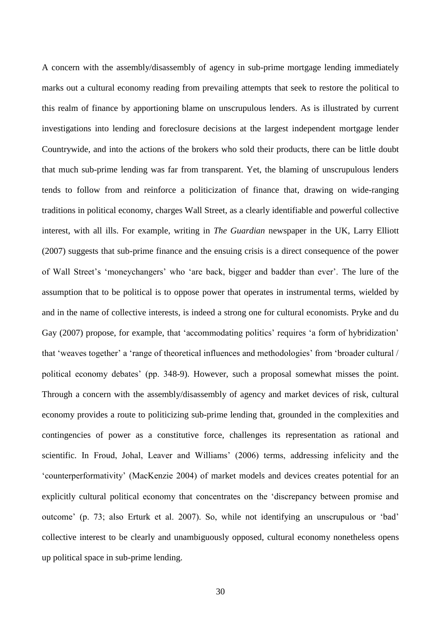A concern with the assembly/disassembly of agency in sub-prime mortgage lending immediately marks out a cultural economy reading from prevailing attempts that seek to restore the political to this realm of finance by apportioning blame on unscrupulous lenders. As is illustrated by current investigations into lending and foreclosure decisions at the largest independent mortgage lender Countrywide, and into the actions of the brokers who sold their products, there can be little doubt that much sub-prime lending was far from transparent. Yet, the blaming of unscrupulous lenders tends to follow from and reinforce a politicization of finance that, drawing on wide-ranging traditions in political economy, charges Wall Street, as a clearly identifiable and powerful collective interest, with all ills. For example, writing in *The Guardian* newspaper in the UK, Larry Elliott (2007) suggests that sub-prime finance and the ensuing crisis is a direct consequence of the power of Wall Street's 'moneychangers' who 'are back, bigger and badder than ever'. The lure of the assumption that to be political is to oppose power that operates in instrumental terms, wielded by and in the name of collective interests, is indeed a strong one for cultural economists. Pryke and du Gay (2007) propose, for example, that 'accommodating politics' requires 'a form of hybridization' that 'weaves together' a 'range of theoretical influences and methodologies' from 'broader cultural / political economy debates' (pp. 348-9). However, such a proposal somewhat misses the point. Through a concern with the assembly/disassembly of agency and market devices of risk, cultural economy provides a route to politicizing sub-prime lending that, grounded in the complexities and contingencies of power as a constitutive force, challenges its representation as rational and scientific. In Froud, Johal, Leaver and Williams' (2006) terms, addressing infelicity and the 'counterperformativity' (MacKenzie 2004) of market models and devices creates potential for an explicitly cultural political economy that concentrates on the 'discrepancy between promise and outcome' (p. 73; also Erturk et al. 2007). So, while not identifying an unscrupulous or 'bad' collective interest to be clearly and unambiguously opposed, cultural economy nonetheless opens up political space in sub-prime lending.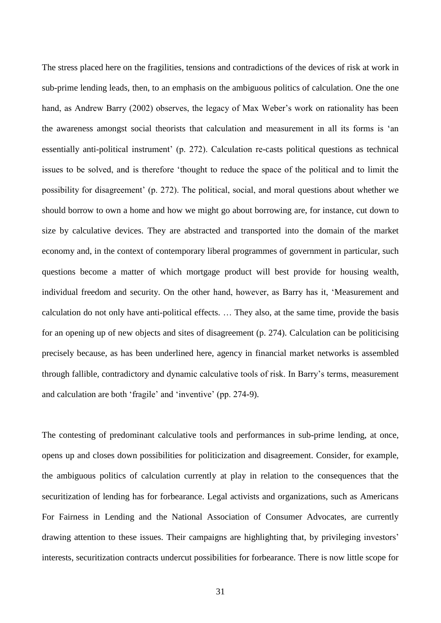The stress placed here on the fragilities, tensions and contradictions of the devices of risk at work in sub-prime lending leads, then, to an emphasis on the ambiguous politics of calculation. One the one hand, as Andrew Barry (2002) observes, the legacy of Max Weber's work on rationality has been the awareness amongst social theorists that calculation and measurement in all its forms is 'an essentially anti-political instrument' (p. 272). Calculation re-casts political questions as technical issues to be solved, and is therefore 'thought to reduce the space of the political and to limit the possibility for disagreement' (p. 272). The political, social, and moral questions about whether we should borrow to own a home and how we might go about borrowing are, for instance, cut down to size by calculative devices. They are abstracted and transported into the domain of the market economy and, in the context of contemporary liberal programmes of government in particular, such questions become a matter of which mortgage product will best provide for housing wealth, individual freedom and security. On the other hand, however, as Barry has it, 'Measurement and calculation do not only have anti-political effects. … They also, at the same time, provide the basis for an opening up of new objects and sites of disagreement (p. 274). Calculation can be politicising precisely because, as has been underlined here, agency in financial market networks is assembled through fallible, contradictory and dynamic calculative tools of risk. In Barry's terms, measurement and calculation are both 'fragile' and 'inventive' (pp. 274-9).

The contesting of predominant calculative tools and performances in sub-prime lending, at once, opens up and closes down possibilities for politicization and disagreement. Consider, for example, the ambiguous politics of calculation currently at play in relation to the consequences that the securitization of lending has for forbearance. Legal activists and organizations, such as Americans For Fairness in Lending and the National Association of Consumer Advocates, are currently drawing attention to these issues. Their campaigns are highlighting that, by privileging investors' interests, securitization contracts undercut possibilities for forbearance. There is now little scope for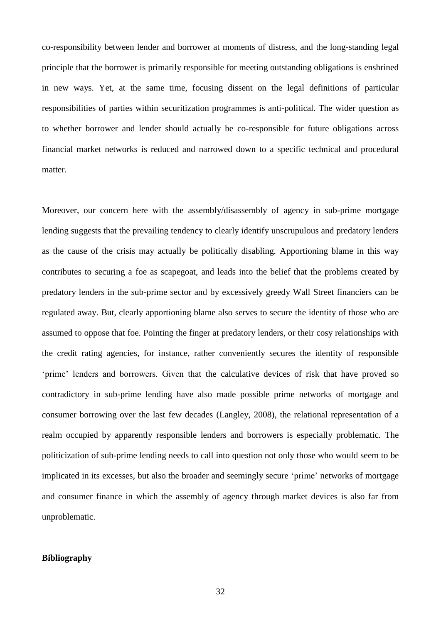co-responsibility between lender and borrower at moments of distress, and the long-standing legal principle that the borrower is primarily responsible for meeting outstanding obligations is enshrined in new ways. Yet, at the same time, focusing dissent on the legal definitions of particular responsibilities of parties within securitization programmes is anti-political. The wider question as to whether borrower and lender should actually be co-responsible for future obligations across financial market networks is reduced and narrowed down to a specific technical and procedural matter.

Moreover, our concern here with the assembly/disassembly of agency in sub-prime mortgage lending suggests that the prevailing tendency to clearly identify unscrupulous and predatory lenders as the cause of the crisis may actually be politically disabling. Apportioning blame in this way contributes to securing a foe as scapegoat, and leads into the belief that the problems created by predatory lenders in the sub-prime sector and by excessively greedy Wall Street financiers can be regulated away. But, clearly apportioning blame also serves to secure the identity of those who are assumed to oppose that foe. Pointing the finger at predatory lenders, or their cosy relationships with the credit rating agencies, for instance, rather conveniently secures the identity of responsible 'prime' lenders and borrowers. Given that the calculative devices of risk that have proved so contradictory in sub-prime lending have also made possible prime networks of mortgage and consumer borrowing over the last few decades (Langley, 2008), the relational representation of a realm occupied by apparently responsible lenders and borrowers is especially problematic. The politicization of sub-prime lending needs to call into question not only those who would seem to be implicated in its excesses, but also the broader and seemingly secure 'prime' networks of mortgage and consumer finance in which the assembly of agency through market devices is also far from unproblematic.

# **Bibliography**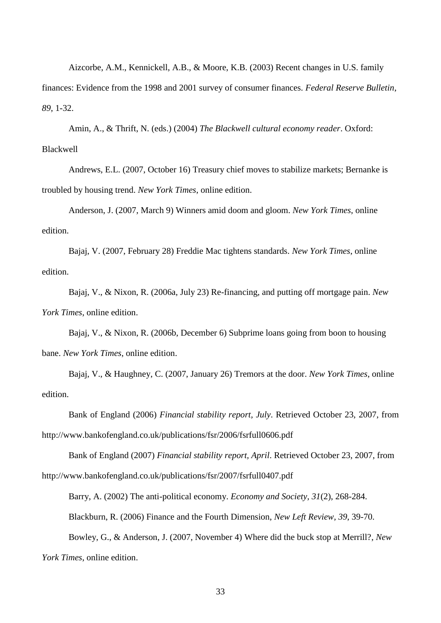Aizcorbe, A.M., Kennickell, A.B., & Moore, K.B. (2003) Recent changes in U.S. family finances: Evidence from the 1998 and 2001 survey of consumer finances. *Federal Reserve Bulletin*, *89*, 1-32.

Amin, A., & Thrift, N. (eds.) (2004) *The Blackwell cultural economy reader*. Oxford: Blackwell

Andrews, E.L. (2007, October 16) Treasury chief moves to stabilize markets; Bernanke is troubled by housing trend. *New York Times*, online edition.

Anderson, J. (2007, March 9) Winners amid doom and gloom. *New York Times*, online edition.

Bajaj, V. (2007, February 28) Freddie Mac tightens standards. *New York Times*, online edition.

Bajaj, V., & Nixon, R. (2006a, July 23) Re-financing, and putting off mortgage pain. *New York Times*, online edition.

Bajaj, V., & Nixon, R. (2006b, December 6) Subprime loans going from boon to housing bane. *New York Times*, online edition.

Bajaj, V., & Haughney, C. (2007, January 26) Tremors at the door. *New York Times*, online edition.

Bank of England (2006) *Financial stability report, July*. Retrieved October 23, 2007, from http://www.bankofengland.co.uk/publications/fsr/2006/fsrfull0606.pdf

Bank of England (2007) *Financial stability report, April*. Retrieved October 23, 2007, from http://www.bankofengland.co.uk/publications/fsr/2007/fsrfull0407.pdf

Barry, A. (2002) The anti-political economy. *Economy and Society, 31*(2), 268-284. Blackburn, R. (2006) Finance and the Fourth Dimension, *New Left Review, 39*, 39-70. Bowley, G., & Anderson, J. (2007, November 4) Where did the buck stop at Merrill?, *New York Times*, online edition.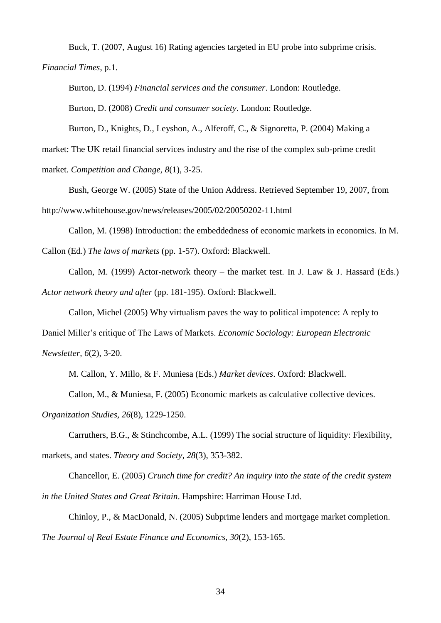Buck, T. (2007, August 16) Rating agencies targeted in EU probe into subprime crisis. *Financial Times*, p.1.

Burton, D. (1994) *Financial services and the consumer*. London: Routledge. Burton, D. (2008) *Credit and consumer society*. London: Routledge.

Burton, D., Knights, D., Leyshon, A., Alferoff, C., & Signoretta, P. (2004) Making a

market: The UK retail financial services industry and the rise of the complex sub-prime credit

market. *Competition and Change, 8*(1), 3-25.

Bush, George W. (2005) State of the Union Address. Retrieved September 19, 2007, from http://www.whitehouse.gov/news/releases/2005/02/20050202-11.html

Callon, M. (1998) Introduction: the embeddedness of economic markets in economics. In M. Callon (Ed.) *The laws of markets* (pp. 1-57). Oxford: Blackwell.

Callon, M. (1999) Actor-network theory – the market test. In J. Law & J. Hassard (Eds.) *Actor network theory and after* (pp. 181-195). Oxford: Blackwell.

Callon, Michel (2005) Why virtualism paves the way to political impotence: A reply to Daniel Miller's critique of The Laws of Markets. *Economic Sociology: European Electronic Newsletter, 6*(2), 3-20.

M. Callon, Y. Millo, & F. Muniesa (Eds.) *Market devices*. Oxford: Blackwell.

Callon, M., & Muniesa, F. (2005) Economic markets as calculative collective devices.

*Organization Studies, 26*(8), 1229-1250.

Carruthers, B.G., & Stinchcombe, A.L. (1999) The social structure of liquidity: Flexibility, markets, and states. *Theory and Society, 28*(3), 353-382.

Chancellor, E. (2005) *Crunch time for credit? An inquiry into the state of the credit system in the United States and Great Britain*. Hampshire: Harriman House Ltd.

Chinloy, P., & MacDonald, N. (2005) Subprime lenders and mortgage market completion. *The Journal of Real Estate Finance and Economics, 30*(2), 153-165.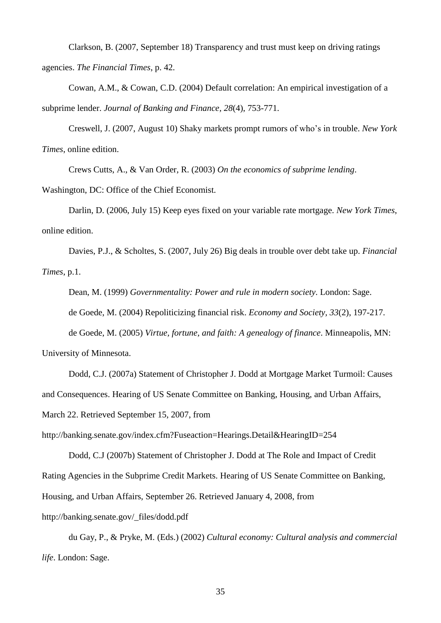Clarkson, B. (2007, September 18) Transparency and trust must keep on driving ratings agencies. *The Financial Times*, p. 42.

Cowan, A.M., & Cowan, C.D. (2004) Default correlation: An empirical investigation of a subprime lender. *Journal of Banking and Finance, 28*(4), 753-771.

Creswell, J. (2007, August 10) Shaky markets prompt rumors of who's in trouble. *New York Times*, online edition.

Crews Cutts, A., & Van Order, R. (2003) *On the economics of subprime lending*.

Washington, DC: Office of the Chief Economist.

Darlin, D. (2006, July 15) Keep eyes fixed on your variable rate mortgage. *New York Times*, online edition.

Davies, P.J., & Scholtes, S. (2007, July 26) Big deals in trouble over debt take up. *Financial Times*, p.1.

Dean, M. (1999) *Governmentality: Power and rule in modern society*. London: Sage.

de Goede, M. (2004) Repoliticizing financial risk. *Economy and Society, 33*(2), 197-217.

de Goede, M. (2005) *Virtue, fortune, and faith: A genealogy of finance*. Minneapolis, MN:

University of Minnesota.

Dodd, C.J. (2007a) Statement of Christopher J. Dodd at Mortgage Market Turmoil: Causes and Consequences. Hearing of US Senate Committee on Banking, Housing, and Urban Affairs, March 22. Retrieved September 15, 2007, from

http://banking.senate.gov/index.cfm?Fuseaction=Hearings.Detail&HearingID=254

Dodd, C.J (2007b) Statement of Christopher J. Dodd at The Role and Impact of Credit Rating Agencies in the Subprime Credit Markets. Hearing of US Senate Committee on Banking, Housing, and Urban Affairs, September 26. Retrieved January 4, 2008, from

http://banking.senate.gov/\_files/dodd.pdf

du Gay, P., & Pryke, M. (Eds.) (2002) *Cultural economy: Cultural analysis and commercial life*. London: Sage.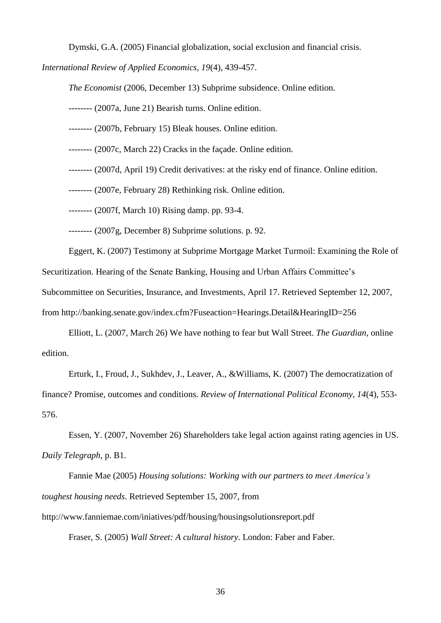Dymski, G.A. (2005) Financial globalization, social exclusion and financial crisis.

*International Review of Applied Economics, 19*(4), 439-457.

*The Economist* (2006, December 13) Subprime subsidence. Online edition.

-------- (2007a, June 21) Bearish turns. Online edition.

-------- (2007b, February 15) Bleak houses. Online edition.

-------- (2007c, March 22) Cracks in the façade. Online edition.

-------- (2007d, April 19) Credit derivatives: at the risky end of finance. Online edition.

-------- (2007e, February 28) Rethinking risk. Online edition.

-------- (2007f, March 10) Rising damp. pp. 93-4.

-------- (2007g, December 8) Subprime solutions. p. 92.

Eggert, K. (2007) Testimony at Subprime Mortgage Market Turmoil: Examining the Role of Securitization. Hearing of the Senate Banking, Housing and Urban Affairs Committee's Subcommittee on Securities, Insurance, and Investments, April 17. Retrieved September 12, 2007,

from http://banking.senate.gov/index.cfm?Fuseaction=Hearings.Detail&HearingID=256

Elliott, L. (2007, March 26) We have nothing to fear but Wall Street. *The Guardian*, online edition.

Erturk, I., Froud, J., Sukhdev, J., Leaver, A., &Williams, K. (2007) The democratization of finance? Promise, outcomes and conditions. *Review of International Political Economy, 14*(4), 553- 576.

Essen, Y. (2007, November 26) Shareholders take legal action against rating agencies in US. *Daily Telegraph*, p. B1.

Fannie Mae (2005) *Housing solutions: Working with our partners to meet America's toughest housing needs*. Retrieved September 15, 2007, from http://www.fanniemae.com/iniatives/pdf/housing/housingsolutionsreport.pdf

Fraser, S. (2005) *Wall Street: A cultural history*. London: Faber and Faber.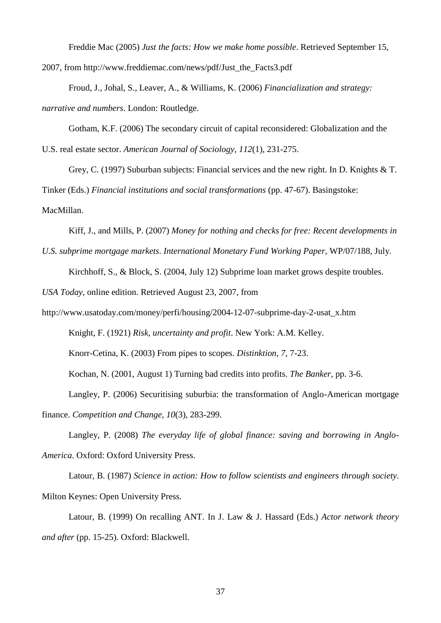Freddie Mac (2005) *Just the facts: How we make home possible*. Retrieved September 15,

2007, from http://www.freddiemac.com/news/pdf/Just\_the\_Facts3.pdf

Froud, J., Johal, S., Leaver, A., & Williams, K. (2006) *Financialization and strategy: narrative and numbers*. London: Routledge.

Gotham, K.F. (2006) The secondary circuit of capital reconsidered: Globalization and the U.S. real estate sector. *American Journal of Sociology, 112*(1), 231-275.

Grey, C. (1997) Suburban subjects: Financial services and the new right. In D. Knights & T. Tinker (Eds.) *Financial institutions and social transformations* (pp. 47-67). Basingstoke: MacMillan.

Kiff, J., and Mills, P. (2007) *Money for nothing and checks for free: Recent developments in U.S. subprime mortgage markets*. *International Monetary Fund Working Paper*, WP/07/188, July.

Kirchhoff, S., & Block, S. (2004, July 12) Subprime loan market grows despite troubles.

*USA Today*, online edition. Retrieved August 23, 2007, from

http://www.usatoday.com/money/perfi/housing/2004-12-07-subprime-day-2-usat\_x.htm

Knight, F. (1921) *Risk, uncertainty and profit*. New York: A.M. Kelley.

Knorr-Cetina, K. (2003) From pipes to scopes. *Distinktion, 7*, 7-23.

Kochan, N. (2001, August 1) Turning bad credits into profits. *The Banker*, pp. 3-6.

Langley, P. (2006) Securitising suburbia: the transformation of Anglo-American mortgage

finance. *Competition and Change, 10*(3), 283-299.

Langley, P. (2008) *The everyday life of global finance: saving and borrowing in Anglo-America*. Oxford: Oxford University Press.

Latour, B. (1987) *Science in action: How to follow scientists and engineers through society*. Milton Keynes: Open University Press.

Latour, B. (1999) On recalling ANT. In J. Law & J. Hassard (Eds.) *Actor network theory and after* (pp. 15-25). Oxford: Blackwell.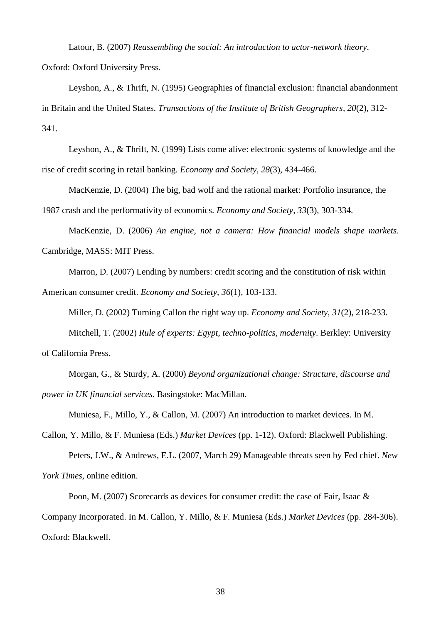Latour, B. (2007) *Reassembling the social: An introduction to actor-network theory*.

Oxford: Oxford University Press.

Leyshon, A., & Thrift, N. (1995) Geographies of financial exclusion: financial abandonment in Britain and the United States. *Transactions of the Institute of British Geographers, 20*(2), 312- 341.

Leyshon, A., & Thrift, N. (1999) Lists come alive: electronic systems of knowledge and the rise of credit scoring in retail banking. *Economy and Society, 28*(3), 434-466.

MacKenzie, D. (2004) The big, bad wolf and the rational market: Portfolio insurance, the 1987 crash and the performativity of economics. *Economy and Society, 33*(3), 303-334.

MacKenzie, D. (2006) *An engine, not a camera: How financial models shape markets*. Cambridge, MASS: MIT Press.

Marron, D. (2007) Lending by numbers: credit scoring and the constitution of risk within American consumer credit. *Economy and Society, 36*(1), 103-133.

Miller, D. (2002) Turning Callon the right way up. *Economy and Society, 31*(2), 218-233.

Mitchell, T. (2002) *Rule of experts: Egypt, techno-politics, modernity*. Berkley: University of California Press.

Morgan, G., & Sturdy, A. (2000) *Beyond organizational change: Structure, discourse and power in UK financial services*. Basingstoke: MacMillan.

Muniesa, F., Millo, Y., & Callon, M. (2007) An introduction to market devices. In M.

Callon, Y. Millo, & F. Muniesa (Eds.) *Market Devices* (pp. 1-12). Oxford: Blackwell Publishing. Peters, J.W., & Andrews, E.L. (2007, March 29) Manageable threats seen by Fed chief. *New York Times*, online edition.

Poon, M. (2007) Scorecards as devices for consumer credit: the case of Fair, Isaac &

Company Incorporated. In M. Callon, Y. Millo, & F. Muniesa (Eds.) *Market Devices* (pp. 284-306). Oxford: Blackwell.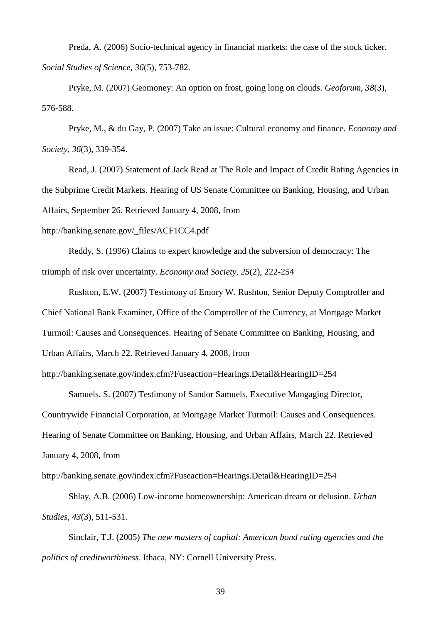Preda, A. (2006) Socio-technical agency in financial markets: the case of the stock ticker. *Social Studies of Science, 36*(5), 753-782.

Pryke, M. (2007) Geomoney: An option on frost, going long on clouds. *Geoforum, 38*(3), 576-588.

Pryke, M., & du Gay, P. (2007) Take an issue: Cultural economy and finance. *Economy and Society, 36*(3), 339-354.

Read, J. (2007) Statement of Jack Read at The Role and Impact of Credit Rating Agencies in the Subprime Credit Markets. Hearing of US Senate Committee on Banking, Housing, and Urban Affairs, September 26. Retrieved January 4, 2008, from

http://banking.senate.gov/\_files/ACF1CC4.pdf

Reddy, S. (1996) Claims to expert knowledge and the subversion of democracy: The triumph of risk over uncertainty. *Economy and Society, 25*(2), 222-254

Rushton, E.W. (2007) Testimony of Emory W. Rushton, Senior Deputy Comptroller and Chief National Bank Examiner, Office of the Comptroller of the Currency, at Mortgage Market Turmoil: Causes and Consequences. Hearing of Senate Committee on Banking, Housing, and Urban Affairs, March 22. Retrieved January 4, 2008, from

http://banking.senate.gov/index.cfm?Fuseaction=Hearings.Detail&HearingID=254

Samuels, S. (2007) Testimony of Sandor Samuels, Executive Mangaging Director, Countrywide Financial Corporation, at Mortgage Market Turmoil: Causes and Consequences. Hearing of Senate Committee on Banking, Housing, and Urban Affairs, March 22. Retrieved January 4, 2008, from

http://banking.senate.gov/index.cfm?Fuseaction=Hearings.Detail&HearingID=254

Shlay, A.B. (2006) Low-income homeownership: American dream or delusion. *Urban Studies, 43*(3), 511-531.

Sinclair, T.J. (2005) *The new masters of capital: American bond rating agencies and the politics of creditworthiness*. Ithaca, NY: Cornell University Press.